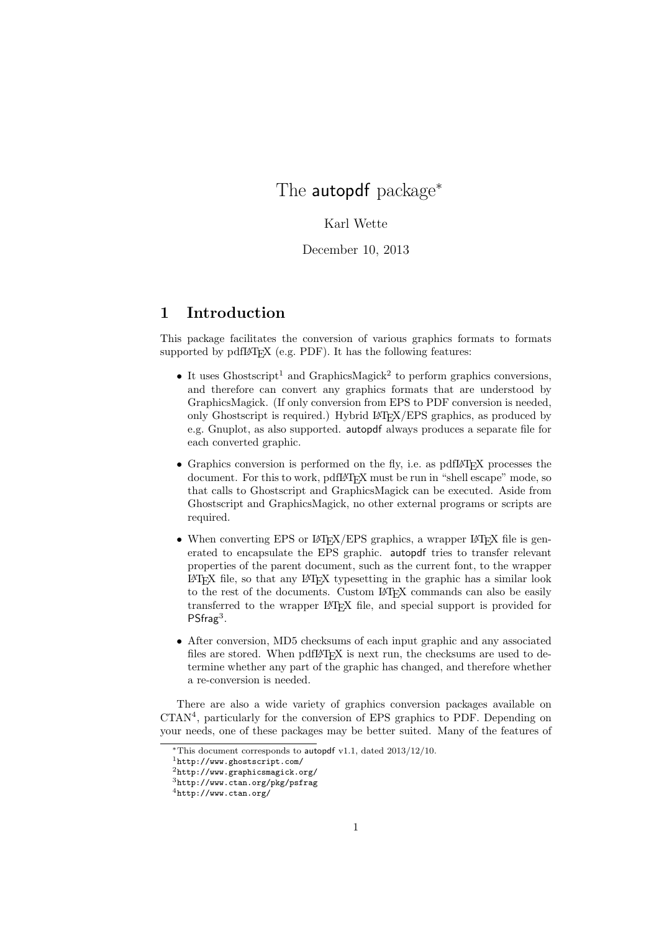# The autopdf package<sup>\*</sup>

#### Karl Wette

December 10, 2013

## 1 Introduction

This package facilitates the conversion of various graphics formats to formats supported by  $pdfIATFX$  (e.g. PDF). It has the following features:

- It uses Ghostscript<sup>1</sup> and GraphicsMagick<sup>2</sup> to perform graphics conversions, and therefore can convert any graphics formats that are understood by GraphicsMagick. (If only conversion from EPS to PDF conversion is needed, only Ghostscript is required.) Hybrid LATEX/EPS graphics, as produced by e.g. Gnuplot, as also supported. autopdf always produces a separate file for each converted graphic.
- Graphics conversion is performed on the fly, i.e. as pdfL $\mathbb{F}$ F<sub>K</sub>X processes the document. For this to work, pdfIAT<sub>EX</sub> must be run in "shell escape" mode, so that calls to Ghostscript and GraphicsMagick can be executed. Aside from Ghostscript and GraphicsMagick, no other external programs or scripts are required.
- When converting EPS or  $\frac{1}{4}$ FRX/EPS graphics, a wrapper  $\frac{1}{4}$ FRX file is generated to encapsulate the EPS graphic. autopdf tries to transfer relevant properties of the parent document, such as the current font, to the wrapper LATEX file, so that any LATEX typesetting in the graphic has a similar look to the rest of the documents. Custom LATEX commands can also be easily transferred to the wrapper LATEX file, and special support is provided for PSfrag<sup>3</sup>.
- After conversion, MD5 checksums of each input graphic and any associated files are stored. When  $\text{pdfATEX}$  is next run, the checksums are used to determine whether any part of the graphic has changed, and therefore whether a re-conversion is needed.

There are also a wide variety of graphics conversion packages available on CTAN<sup>4</sup> , particularly for the conversion of EPS graphics to PDF. Depending on your needs, one of these packages may be better suited. Many of the features of

<sup>∗</sup>This document corresponds to autopdf v1.1, dated 2013/12/10.

<sup>1</sup>http://www.ghostscript.com/

<sup>2</sup>http://www.graphicsmagick.org/

<sup>3</sup>http://www.ctan.org/pkg/psfrag

<sup>4</sup>http://www.ctan.org/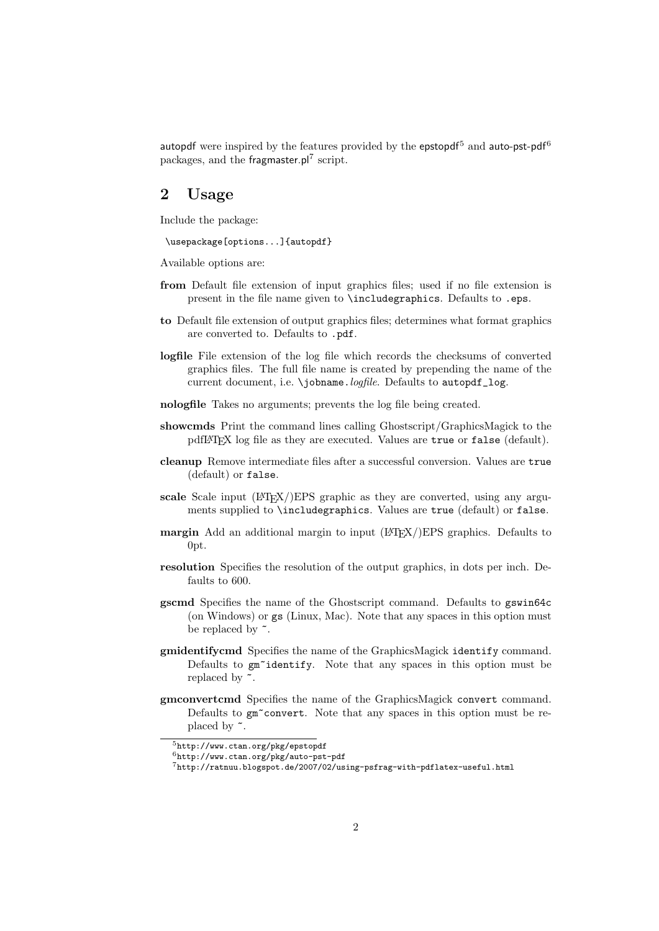autopdf were inspired by the features provided by the epstopdf<sup>5</sup> and auto-pst-pdf<sup>6</sup> packages, and the fragmaster.pl<sup>7</sup> script.

## 2 Usage

Include the package:

\usepackage[options...]{autopdf}

Available options are:

- from Default file extension of input graphics files; used if no file extension is present in the file name given to \includegraphics. Defaults to .eps.
- to Default file extension of output graphics files; determines what format graphics are converted to. Defaults to .pdf.
- logfile File extension of the log file which records the checksums of converted graphics files. The full file name is created by prepending the name of the current document, i.e. \jobname.logfile. Defaults to autopdf log.
- nologfile Takes no arguments; prevents the log file being created.
- showcmds Print the command lines calling Ghostscript/GraphicsMagick to the pdfIAT<sub>EX</sub> log file as they are executed. Values are true or false (default).
- cleanup Remove intermediate files after a successful conversion. Values are true (default) or false.
- scale Scale input  $\left(\frac{L}{L}\right)$ EPS graphic as they are converted, using any arguments supplied to \includegraphics. Values are true (default) or false.
- **margin** Add an additional margin to input  $(\text{LATEX})$  EPS graphics. Defaults to 0pt.
- resolution Specifies the resolution of the output graphics, in dots per inch. Defaults to 600.
- gscmd Specifies the name of the Ghostscript command. Defaults to gswin64c (on Windows) or gs (Linux, Mac). Note that any spaces in this option must be replaced by  $\tilde{\phantom{a}}$ .
- gmidentifycmd Specifies the name of the GraphicsMagick identify command. Defaults to gm~identify. Note that any spaces in this option must be replaced by  $\tilde{\phantom{a}}$ .
- gmconvertcmd Specifies the name of the GraphicsMagick convert command. Defaults to  $gm\text{-}convert$ . Note that any spaces in this option must be replaced by  $\tilde{\phantom{a}}$ .

<sup>5</sup>http://www.ctan.org/pkg/epstopdf

<sup>6</sup>http://www.ctan.org/pkg/auto-pst-pdf

<sup>7</sup>http://ratnuu.blogspot.de/2007/02/using-psfrag-with-pdflatex-useful.html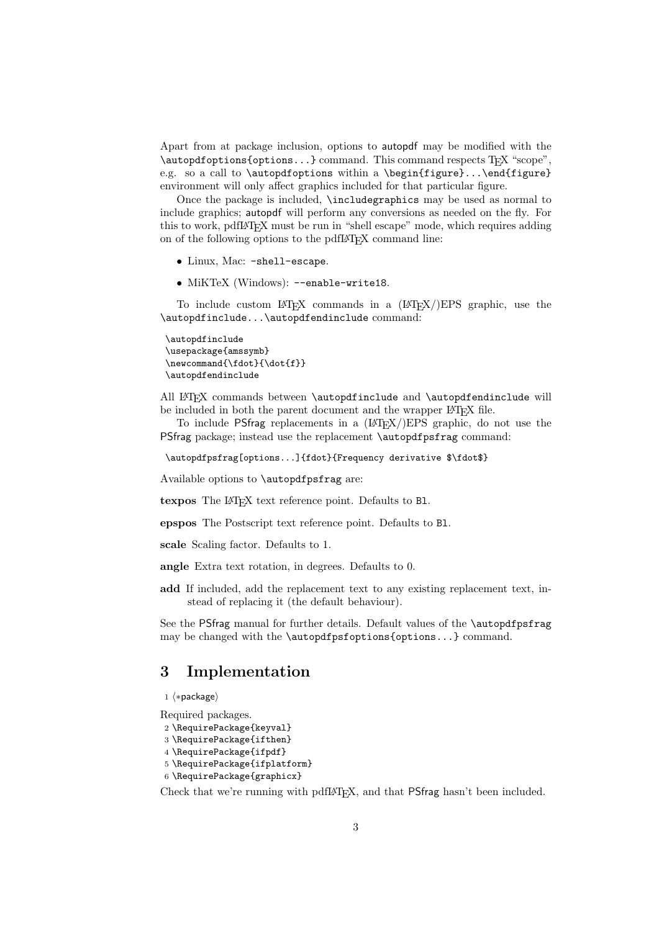Apart from at package inclusion, options to autopdf may be modified with the \autopdfoptions{options...} command. This command respects TEX "scope", e.g. so a call to \autopdfoptions within a \begin{figure}...\end{figure} environment will only affect graphics included for that particular figure.

Once the package is included, \includegraphics may be used as normal to include graphics; autopdf will perform any conversions as needed on the fly. For this to work, pdfLAT<sub>EX</sub> must be run in "shell escape" mode, which requires adding on of the following options to the pdfLAT<sub>EX</sub> command line:

- Linux, Mac: -shell-escape.
- MiKTeX (Windows): --enable-write18.

To include custom LAT<sub>E</sub>X commands in a  $(HT<sub>E</sub>X)/EPS$  graphic, use the \autopdfinclude...\autopdfendinclude command:

```
\autopdfinclude
\usepackage{amssymb}
\newcommand{\fdot}{\dot{f}}
\autopdfendinclude
```
All LATEX commands between \autopdfinclude and \autopdfendinclude will be included in both the parent document and the wrapper L<sup>AT</sup>EX file.

To include PSfrag replacements in a  $(HTr(X)/EPS)$  graphic, do not use the PSfrag package; instead use the replacement \autopdfpsfrag command:

```
\autopdfpsfrag[options...]{fdot}{Frequency derivative $\fdot$}
```
Available options to \autopdfpsfrag are:

texpos The L<sup>AT</sup>EX text reference point. Defaults to B1.

epspos The Postscript text reference point. Defaults to Bl.

scale Scaling factor. Defaults to 1.

angle Extra text rotation, in degrees. Defaults to 0.

add If included, add the replacement text to any existing replacement text, instead of replacing it (the default behaviour).

See the PSfrag manual for further details. Default values of the \autopdfpsfrag may be changed with the **\autopdfpsfoptions{options...}** command.

## 3 Implementation

```
1 \langle *package \rangle
```
Required packages.

```
2 \RequirePackage{keyval}
```

```
3 \RequirePackage{ifthen}
```

```
4 \RequirePackage{ifpdf}
```

```
5 \RequirePackage{ifplatform}
```

```
6 \RequirePackage{graphicx}
```
Check that we're running with pdfLATEX, and that PSfrag hasn't been included.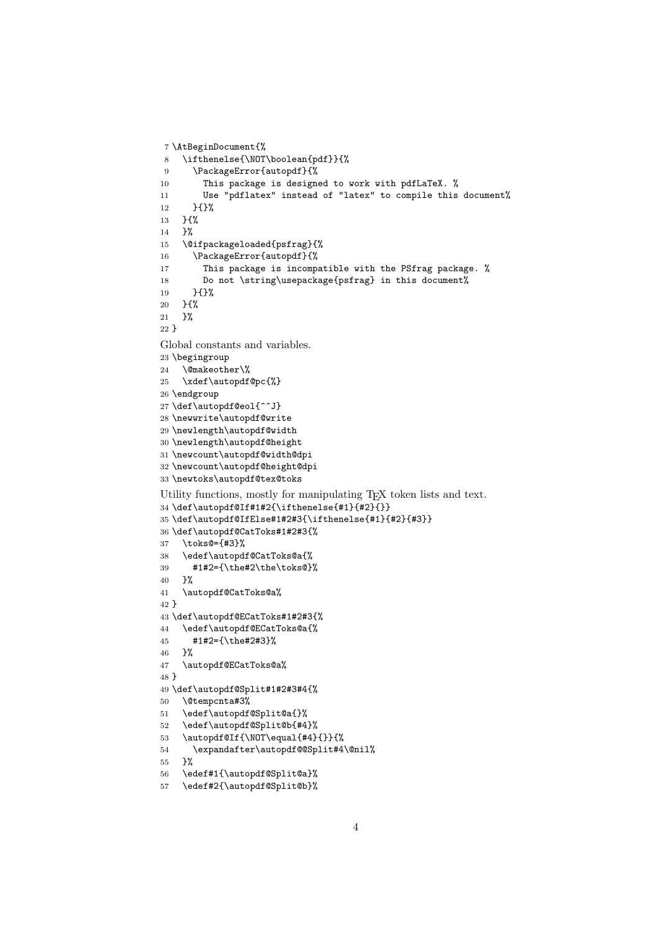```
7 \AtBeginDocument{%
8 \ifthenelse{\NOT\boolean{pdf}}{%
9 \PackageError{autopdf}{%
10 This package is designed to work with pdfLaTeX. %
11 Use "pdflatex" instead of "latex" to compile this document%
12 }{}%
13 }{%
14 }%
15 \@ifpackageloaded{psfrag}{%
16 \PackageError{autopdf}{%
17 This package is incompatible with the PSfrag package. %
18 Do not \string\usepackage{psfrag} in this document%
19 }{}%
20 \frac{\text{}}{\text{}} \frac{100}{\text{}}21 }%
22 }
Global constants and variables.
23 \begingroup
24 \@makeother\%
25 \xdef\autopdf@pc{%}
26 \endgroup
27 \def\autopdf@eol{^^J}
28 \newwrite\autopdf@write
29 \newlength\autopdf@width
30 \newlength\autopdf@height
31 \newcount\autopdf@width@dpi
32 \newcount\autopdf@height@dpi
33 \newtoks\autopdf@tex@toks
Utility functions, mostly for manipulating TEX token lists and text.
34 \def\autopdf@If#1#2{\ifthenelse{#1}{#2}{}}
35 \def\autopdf@IfElse#1#2#3{\ifthenelse{#1}{#2}{#3}}
36 \def\autopdf@CatToks#1#2#3{%
37 \toks@={#3}%
38 \edef\autopdf@CatToks@a{%
39 #1#2={\the#2\the\toks@}%
40 }%
41 \autopdf@CatToks@a%
42 }
43 \def\autopdf@ECatToks#1#2#3{%
44 \edef\autopdf@ECatToks@a{%
45 #1#2={\the#2#3}%
46 }%
47 \autopdf@ECatToks@a%
48 }
49 \def\autopdf@Split#1#2#3#4{%
50 \@tempcnta#3%
51 \edef\autopdf@Split@a{}%
52 \edef\autopdf@Split@b{#4}%
53 \autopdf@If{\NOT\equal{#4}{}}{%
54 \expandafter\autopdf@@Split#4\@nil%
55 }%
56 \edef#1{\autopdf@Split@a}%
57 \edef#2{\autopdf@Split@b}%
```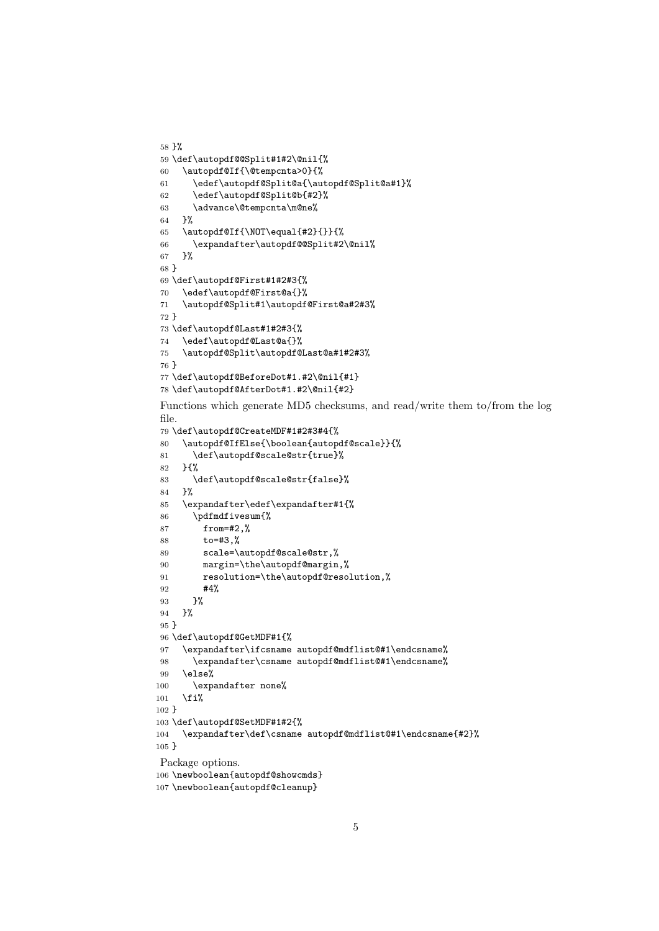```
58 }%
59 \def\autopdf@@Split#1#2\@nil{%
60 \autopdf@If{\@tempcnta>0}{%
61 \edef\autopdf@Split@a{\autopdf@Split@a#1}%
62 \edef\autopdf@Split@b{#2}%
63 \advance\@tempcnta\m@ne%
64 }%
65 \autopdf@If{\NOT\equal{#2}{}}{%
66 \expandafter\autopdf@@Split#2\@nil%
67 }%
68 }
69 \def\autopdf@First#1#2#3{%
70 \edef\autopdf@First@a{}%
71 \autopdf@Split#1\autopdf@First@a#2#3%
72 }
73 \def\autopdf@Last#1#2#3{%
74 \edef\autopdf@Last@a{}%
75 \autopdf@Split\autopdf@Last@a#1#2#3%
76 }
77 \def\autopdf@BeforeDot#1.#2\@nil{#1}
78 \def\autopdf@AfterDot#1.#2\@nil{#2}
Functions which generate MD5 checksums, and read/write them to/from the log
file.
79 \def\autopdf@CreateMDF#1#2#3#4{%
80 \autopdf@IfElse{\boolean{autopdf@scale}}{%
81 \def\autopdf@scale@str{true}%
82 }{%
83 \def\autopdf@scale@str{false}%
84 }%
85 \expandafter\edef\expandafter#1{%
86 \pdfmdfivesum{%
87 from=#2,%
88 to=#3,%
89 scale=\autopdf@scale@str,%
90 margin=\the\autopdf@margin,%
91 resolution=\the\autopdf@resolution,%
92 #4%
93 }%
94 }%
95 }
96 \def\autopdf@GetMDF#1{%
97 \expandafter\ifcsname autopdf@mdflist@#1\endcsname%
98 \expandafter\csname autopdf@mdflist@#1\endcsname%
99 \else%
100 \expandafter none%
101 \fi%
102 }
103 \def\autopdf@SetMDF#1#2{%
104 \expandafter\def\csname autopdf@mdflist@#1\endcsname{#2}%
105 }
Package options.
106 \newboolean{autopdf@showcmds}
```

```
107 \newboolean{autopdf@cleanup}
```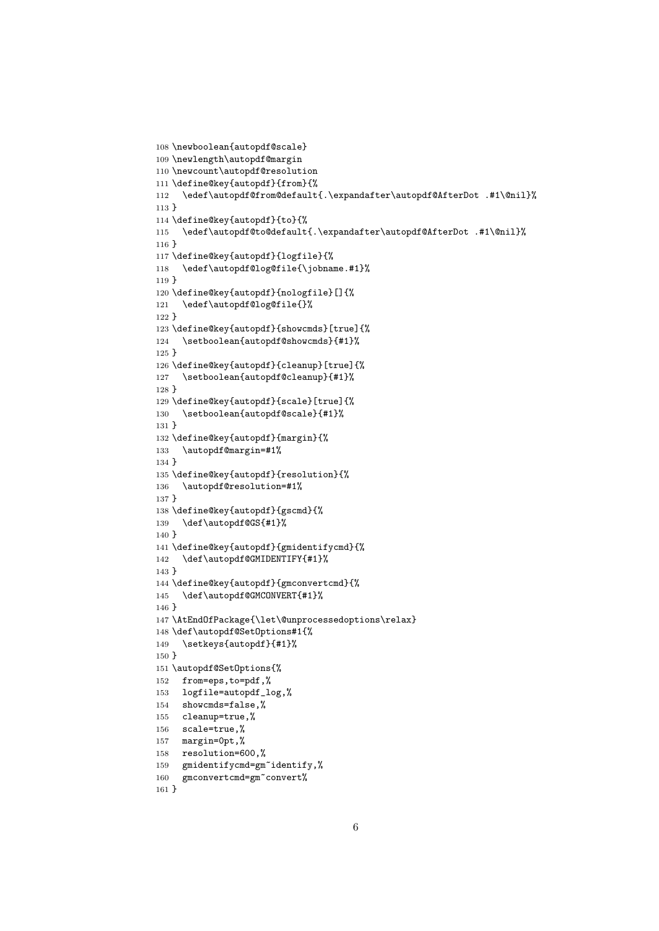```
108 \newboolean{autopdf@scale}
109 \newlength\autopdf@margin
110 \newcount\autopdf@resolution
111 \define@key{autopdf}{from}{%
112 \edef\autopdf@from@default{.\expandafter\autopdf@AfterDot .#1\@nil}%
113 }
114 \define@key{autopdf}{to}{%
115 \edef\autopdf@to@default{.\expandafter\autopdf@AfterDot .#1\@nil}%
116 }
117 \define@key{autopdf}{logfile}{%
118 \edef\autopdf@log@file{\jobname.#1}%
119 }
120 \define@key{autopdf}{nologfile}[]{%
121 \edef\autopdf@log@file{}%
122 }
123 \define@key{autopdf}{showcmds}[true]{%
124 \setboolean{autopdf@showcmds}{#1}%
125 }
126 \define@key{autopdf}{cleanup}[true]{%
127 \setboolean{autopdf@cleanup}{#1}%
128 }
129 \define@key{autopdf}{scale}[true]{%
130 \setboolean{autopdf@scale}{#1}%
131 }
132 \define@key{autopdf}{margin}{%
133 \autopdf@margin=#1%
134 }
135 \define@key{autopdf}{resolution}{%
136 \autopdf@resolution=#1%
137 }
138 \define@key{autopdf}{gscmd}{%
139 \def\autopdf@GS{#1}%
140 }
141 \define@key{autopdf}{gmidentifycmd}{%
142 \def\autopdf@GMIDENTIFY{#1}%
143 }
144 \define@key{autopdf}{gmconvertcmd}{%
145 \def\autopdf@GMCONVERT{#1}%
146 }
147 \AtEndOfPackage{\let\@unprocessedoptions\relax}
148 \def\autopdf@SetOptions#1{%
149 \setkeys{autopdf}{#1}%
150 }
151 \autopdf@SetOptions{%
152 from=eps,to=pdf,%
153 logfile=autopdf_log,%
154 showcmds=false,%
155 cleanup=true,%
156 scale=true,%
157 margin=0pt,%
158 resolution=600,%
159 gmidentifycmd=gm~identify,%
160 gmconvertcmd=gm~convert%
161 }
```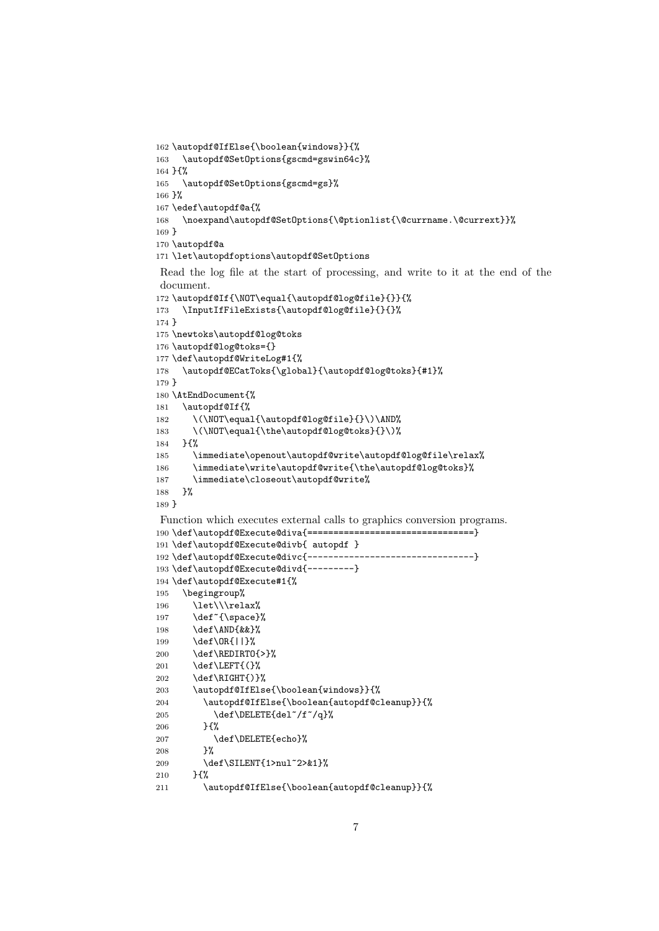```
162 \autopdf@IfElse{\boolean{windows}}{%
163 \autopdf@SetOptions{gscmd=gswin64c}%
164 }{%
165 \autopdf@SetOptions{gscmd=gs}%
166 }%
167 \edef\autopdf@a{%
168 \noexpand\autopdf@SetOptions{\@ptionlist{\@currname.\@currext}}%
169 }
170 \autopdf@a
171 \let\autopdfoptions\autopdf@SetOptions
Read the log file at the start of processing, and write to it at the end of the
document.
172 \autopdf@If{\NOT\equal{\autopdf@log@file}{}}{%
173 \InputIfFileExists{\autopdf@log@file}{}{}%
174 }
175 \newtoks\autopdf@log@toks
176 \autopdf@log@toks={}
177 \def\autopdf@WriteLog#1{%
178 \autopdf@ECatToks{\global}{\autopdf@log@toks}{#1}%
179 }
180 \AtEndDocument{%
181 \autopdf@If{%
182 \(\NOT\equal{\autopdf@log@file}{}\)\AND%
183 \(\NOT\equal{\the\autopdf@log@toks}{}\)%
184 }{%
185 \immediate\openout\autopdf@write\autopdf@log@file\relax%
186 \immediate\write\autopdf@write{\the\autopdf@log@toks}%
187 \immediate\closeout\autopdf@write%
188 }%
189 }
Function which executes external calls to graphics conversion programs.
190 \def\autopdf@Execute@diva{================================}
191 \def\autopdf@Execute@divb{ autopdf }
192 \def\autopdf@Execute@divc{--------------------------------}
193 \def\autopdf@Execute@divd{---------}
194 \def\autopdf@Execute#1{%
195 \begingroup%
196 \let\\\relax%
197 \def<sup>~{</sup>\space}%
198 \def\AND{&&}%
199 \def\OR{||}%
200 \def\REDIRTO{>}%
201 \def\LEFT{(}%
202 \def\RIGHT{) }%
203 \autopdf@IfElse{\boolean{windows}}{%
204 \autopdf@IfElse{\boolean{autopdf@cleanup}}{%
205 \def\DELETE{del~/f~/q}%
206 }{%
207 \def\DELETE{echo}%
208 }%
209 \def\SILENT{1>nul~2>&1}%
210 \frac{1}{8}211 \autopdf@IfElse{\boolean{autopdf@cleanup}}{%
```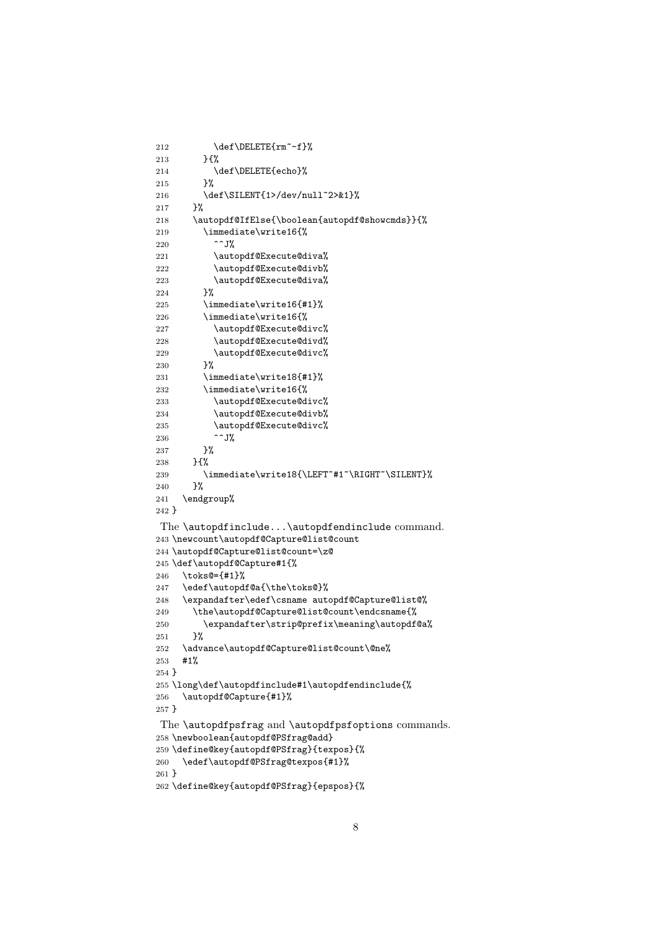```
212 \def\DELETE{rm^- - f}\213 }{%
214 \def\DELETE{echo}%
215 }%
216 \def\SILENT{1>/dev/null~2>&1}%
217 }%
218 \autopdf@IfElse{\boolean{autopdf@showcmds}}{%
219 \immediate\write16{%
220 \sim \sim J\%221 \autopdf@Execute@diva%
222 \autopdf@Execute@divb%
223 \autopdf@Execute@diva%
224 }%
225 \immediate\write16{#1}%
226 \immediate\write16{%
227 \autopdf@Execute@divc%
228 \autopdf@Execute@divd%
229 \autopdf@Execute@divc%
230 }%
231 \immediate\write18{#1}%
232 \immediate\write16{%
233 \autopdf@Execute@divc%
234 \autopdf@Execute@divb%
235 \autopdf@Execute@divc%
236 \sim J%
237 }%
238 }{%
239 \immediate\write18{\LEFT~#1~\RIGHT~\SILENT}%
240 }%
241 \endgroup%
242 }
The \autopdfinclude...\autopdfendinclude command.
243 \newcount\autopdf@Capture@list@count
244 \autopdf@Capture@list@count=\z@
245 \def\autopdf@Capture#1{%
246 \toks@={#1}%
247 \edef\autopdf@a{\the\toks@}%
248 \expandafter\edef\csname autopdf@Capture@list@%
249 \the\autopdf@Capture@list@count\endcsname{%
250 \expandafter\strip@prefix\meaning\autopdf@a%
251 }%
252 \advance\autopdf@Capture@list@count\@ne%
253 #1%
254 }
255 \long\def\autopdfinclude#1\autopdfendinclude{%
256 \autopdf@Capture{#1}%
257 }
The \autopdfpsfrag and \autopdfpsfoptions commands.
258 \newboolean{autopdf@PSfrag@add}
259 \define@key{autopdf@PSfrag}{texpos}{%
260 \edef\autopdf@PSfrag@texpos{#1}%
261 }
262 \define@key{autopdf@PSfrag}{epspos}{%
```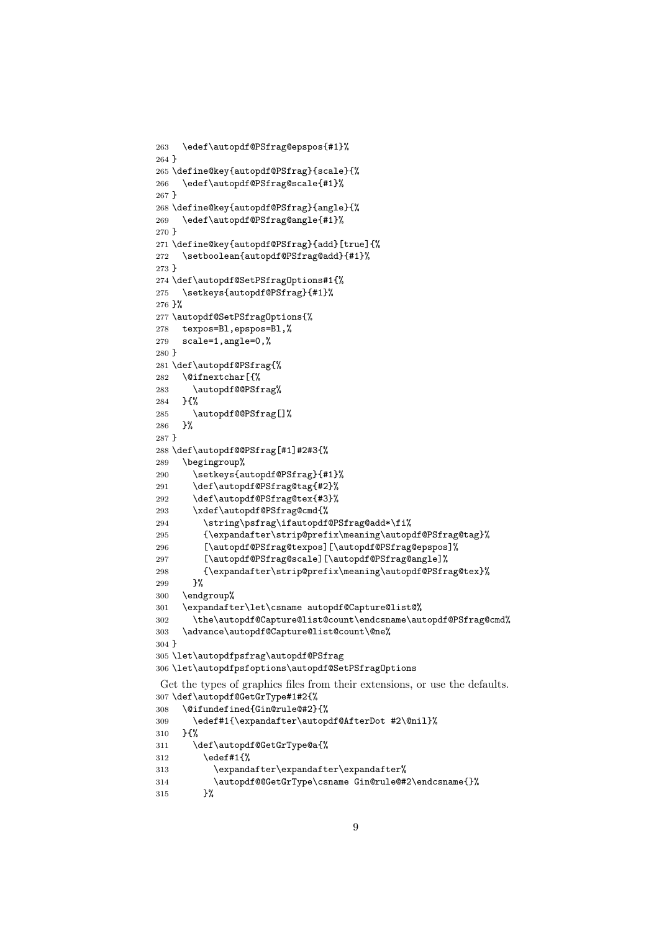```
263 \edef\autopdf@PSfrag@epspos{#1}%
264 }
265 \define@key{autopdf@PSfrag}{scale}{%
266 \edef\autopdf@PSfrag@scale{#1}%
267 }
268 \define@key{autopdf@PSfrag}{angle}{%
269 \edef\autopdf@PSfrag@angle{#1}%
270 }
271 \define@key{autopdf@PSfrag}{add}[true]{%
272 \setboolean{autopdf@PSfrag@add}{#1}%
273 }
274 \def\autopdf@SetPSfragOptions#1{%
275 \setkeys{autopdf@PSfrag}{#1}%
276 }%
277 \autopdf@SetPSfragOptions{%
278 texpos=Bl,epspos=Bl,%
279 scale=1,angle=0,%
280 }
281 \def\autopdf@PSfrag{%
282 \@ifnextchar[{%
283 \autopdf@@PSfrag%
284 }{%
285 \autopdf@@PSfrag[]%
286 }%
287 }
288 \def\autopdf@@PSfrag[#1]#2#3{%
289 \begingroup%
290 \setkeys{autopdf@PSfrag}{#1}%
291 \def\autopdf@PSfrag@tag{#2}%
292 \def\autopdf@PSfrag@tex{#3}%
293 \xdef\autopdf@PSfrag@cmd{%
294 \string\psfrag\ifautopdf@PSfrag@add*\fi%
295 {\expandafter\strip@prefix\meaning\autopdf@PSfrag@tag}%
296 [\autopdf@PSfrag@texpos][\autopdf@PSfrag@epspos]%
297 [\autopdf@PSfrag@scale][\autopdf@PSfrag@angle]%
298 {\expandafter\strip@prefix\meaning\autopdf@PSfrag@tex}%
299 }%
300 \endgroup%
301 \expandafter\let\csname autopdf@Capture@list@%
302 \the\autopdf@Capture@list@count\endcsname\autopdf@PSfrag@cmd%
303 \advance\autopdf@Capture@list@count\@ne%
304 }
305 \let\autopdfpsfrag\autopdf@PSfrag
306 \let\autopdfpsfoptions\autopdf@SetPSfragOptions
Get the types of graphics files from their extensions, or use the defaults.
307 \def\autopdf@GetGrType#1#2{%
308 \@ifundefined{Gin@rule@#2}{%<br>309 \edef#1f\expandafter\autop
       \edef#1{\expandafter\autopdf@AfterDot #2\@nil}%
310 }{%
311 \def\autopdf@GetGrType@a{%
312 \edef#1{%
313 \expandafter\expandafter\expandafter%
314 \autopdf@@GetGrType\csname Gin@rule@#2\endcsname{}%
```

```
315 }%
```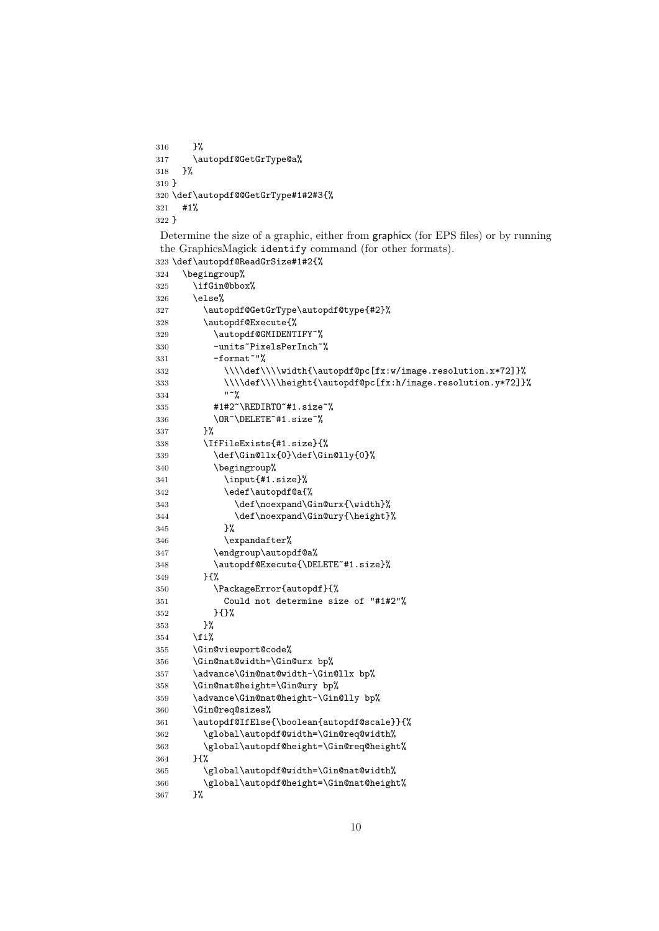}% \autopdf@GetGrType@a% }% } \def\autopdf@@GetGrType#1#2#3{% #1% }

Determine the size of a graphic, either from graphicx (for EPS files) or by running the GraphicsMagick identify command (for other formats). \def\autopdf@ReadGrSize#1#2{%

```
324 \begingroup%
325 \ifGin@bbox%
326 \else%
327 \autopdf@GetGrType\autopdf@type{#2}%
328 \autopdf@Execute{%
329 \autopdf@GMIDENTIFY~%
330 -units~PixelsPerInch~%
331 -format<sup>~"%</sup>
332 \\\\def\\\\width{\autopdf@pc[fx:w/image.resolution.x*72]}%
333 \\\\def\\\\height{\autopdf@pc[fx:h/image.resolution.y*72]}%
334 \frac{11^{20}}{8}335 #1#2~\REDIRTO~#1.size~%
336 \OR~\DELETE~#1.size~%
337 }%
338 \IfFileExists{#1.size}{%
339 \def\Gin@llx{0}\def\Gin@lly{0}%
340 \begingroup%
341 \input{#1.size}%
342 \edef\autopdf@a{%
343 \def\noexpand\Gin@urx{\width}%
344 \def\noexpand\Gin@ury{\height}%
345 }%
346 \expandafter%
347 \endgroup\autopdf@a%
348 \autopdf@Execute{\DELETE~#1.size}%
349 }{%
350 \PackageError{autopdf}{%
351 Could not determine size of "#1#2"%
352 } {}%
353
354 \{f_i\}355 \Gin@viewport@code%
356 \Gin@nat@width=\Gin@urx bp%
357 \advance\Gin@nat@width-\Gin@llx bp%
358 \Gin@nat@height=\Gin@ury bp%
359 \advance\Gin@nat@height-\Gin@lly bp%
360 \Gin@req@sizes%
361 \autopdf@IfElse{\boolean{autopdf@scale}}{%
362 \global\autopdf@width=\Gin@req@width%
363 \global\autopdf@height=\Gin@req@height%
364 }{%
365 \global\autopdf@width=\Gin@nat@width%
366 \global\autopdf@height=\Gin@nat@height%<br>367 }%
367
```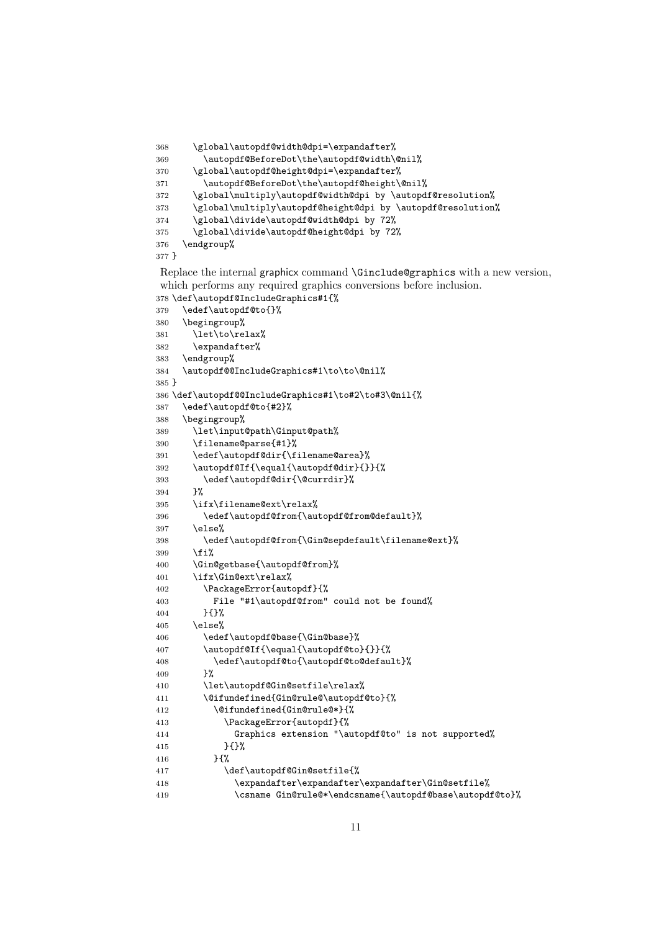```
368 \global\autopdf@width@dpi=\expandafter%
369 \autopdf@BeforeDot\the\autopdf@width\@nil%
370 \global\autopdf@height@dpi=\expandafter%
371 \autopdf@BeforeDot\the\autopdf@height\@nil%
372 \global\multiply\autopdf@width@dpi by \autopdf@resolution%
373 \global\multiply\autopdf@height@dpi by \autopdf@resolution%
374 \global\divide\autopdf@width@dpi by 72%
375 \global\divide\autopdf@height@dpi by 72%
376 \endgroup%
377 }
```
Replace the internal graphicx command \Ginclude@graphics with a new version, which performs any required graphics conversions before inclusion. \def\autopdf@IncludeGraphics#1{%

```
379 \edef\autopdf@to{}%
380 \begingroup%
381 \let\to\relax%
382 \expandafter%
383 \endgroup%
384 \autopdf@@IncludeGraphics#1\to\to\@nil%
385 }
386 \def\autopdf@@IncludeGraphics#1\to#2\to#3\@nil{%
387 \edef\autopdf@to{#2}%
388 \begingroup%
389 \let\input@path\Ginput@path%
390 \filename@parse{#1}%
391 \edef\autopdf@dir{\filename@area}%
392 \autopdf@If{\equal{\autopdf@dir}{}}{%
393 \edef\autopdf@dir{\@currdir}%
394 }%
395 \ifx\filename@ext\relax%
396 \edef\autopdf@from{\autopdf@from@default}%
397 \else%
398 \edef\autopdf@from{\Gin@sepdefault\filename@ext}%
399 \{f_i\}400 \Gin@getbase{\autopdf@from}%
401 \ifx\Gin@ext\relax%
402 \PackageError{autopdf}{%
403 File "#1\autopdf@from" could not be found%
404 }{}%
405 \else%
406 \edef\autopdf@base{\Gin@base}%
407 \autopdf@If{\equal{\autopdf@to}{}}{%
408 \edef\autopdf@to{\autopdf@to@default}%<br>409 }%
409410 \let\autopdf@Gin@setfile\relax%
411 \@ifundefined{Gin@rule@\autopdf@to}{%
412 \@ifundefined{Gin@rule@*}{%
413 \PackageError{autopdf}{%
414 Graphics extension "\autopdf@to" is not supported%
415 }{}%
416 }{%
417 \def\autopdf@Gin@setfile{%
418 \expandafter\expandafter\expandafter\Gin@setfile%
419 \csname Gin@rule@*\endcsname{\autopdf@base\autopdf@to}%
```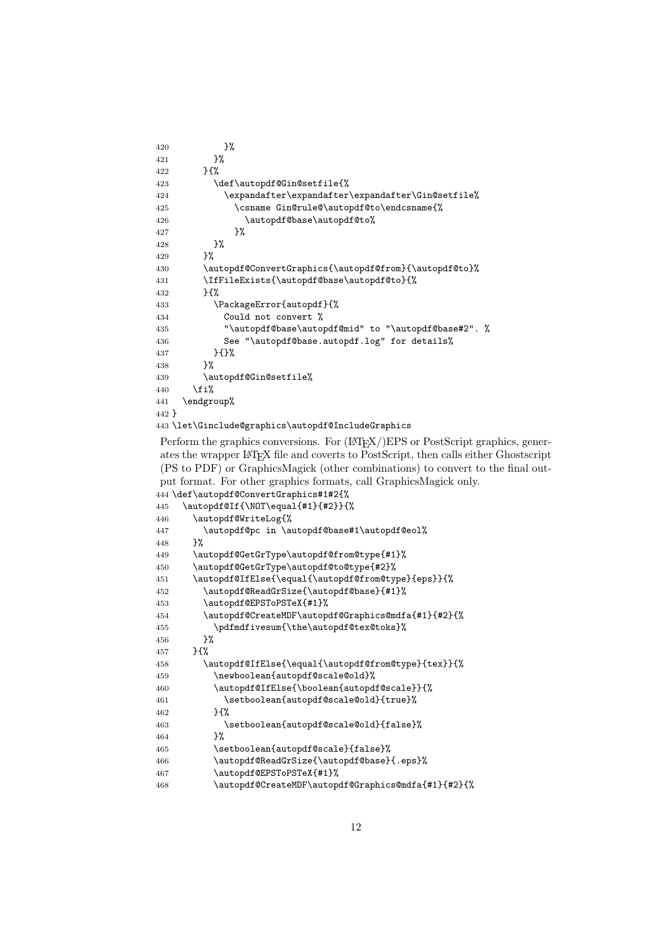```
420 }%
421    }%
422 }{%
423 \def\autopdf@Gin@setfile{%
424 \expandafter\expandafter\expandafter\Gin@setfile%
425 \csname Gin@rule@\autopdf@to\endcsname{%
426 \autopdf@base\autopdf@to%
427 }%
428 }%
429 }%
430 \autopdf@ConvertGraphics{\autopdf@from}{\autopdf@to}%
431 \IfFileExists{\autopdf@base\autopdf@to}{%
432 }{%
433 \PackageError{autopdf}{%
434 Could not convert %
435 "\autopdf@base\autopdf@mid" to "\autopdf@base#2". %
436 See "\autopdf@base.autopdf.log" for details%
437 }{}%
438 }%
439 \autopdf@Gin@setfile%
440 \overrightarrow{1\%}441 \endgroup%
442 }
443 \let\Ginclude@graphics\autopdf@IncludeGraphics
```
Perform the graphics conversions. For  $(LT_F X/)EPS$  or PostScript graphics, generates the wrapper LATEX file and coverts to PostScript, then calls either Ghostscript (PS to PDF) or GraphicsMagick (other combinations) to convert to the final output format. For other graphics formats, call GraphicsMagick only. \def\autopdf@ConvertGraphics#1#2{%

```
445 \autopdf@If{\NOT\equal{#1}{#2}}{%
446 \autopdf@WriteLog{%
447 \autopdf@pc in \autopdf@base#1\autopdf@eol%
448 }%
449 \autopdf@GetGrType\autopdf@from@type{#1}%
450 \autopdf@GetGrType\autopdf@to@type{#2}%
451 \autopdf@IfElse{\equal{\autopdf@from@type}{eps}}{%
452 \autopdf@ReadGrSize{\autopdf@base}{#1}%
453 \autopdf@EPSToPSTeX{#1}%
454 \autopdf@CreateMDF\autopdf@Graphics@mdfa{#1}{#2}{%
455 \pdfmdfivesum{\the\autopdf@tex@toks}%
456 }%
457 }{%
458 \autopdf@IfElse{\equal{\autopdf@from@type}{tex}}{%
459 \newboolean{autopdf@scale@old}%
460 \autopdf@IfElse{\boolean{autopdf@scale}}{%
461 \setboolean{autopdf@scale@old}{true}%
462 }{%
463 \setboolean{autopdf@scale@old}{false}%
464 } ?
465 \setboolean{autopdf@scale}{false}%
466 \autopdf@ReadGrSize{\autopdf@base}{.eps}%
467 \autopdf@EPSToPSTeX{#1}%
468 \autopdf@CreateMDF\autopdf@Graphics@mdfa{#1}{#2}{%
```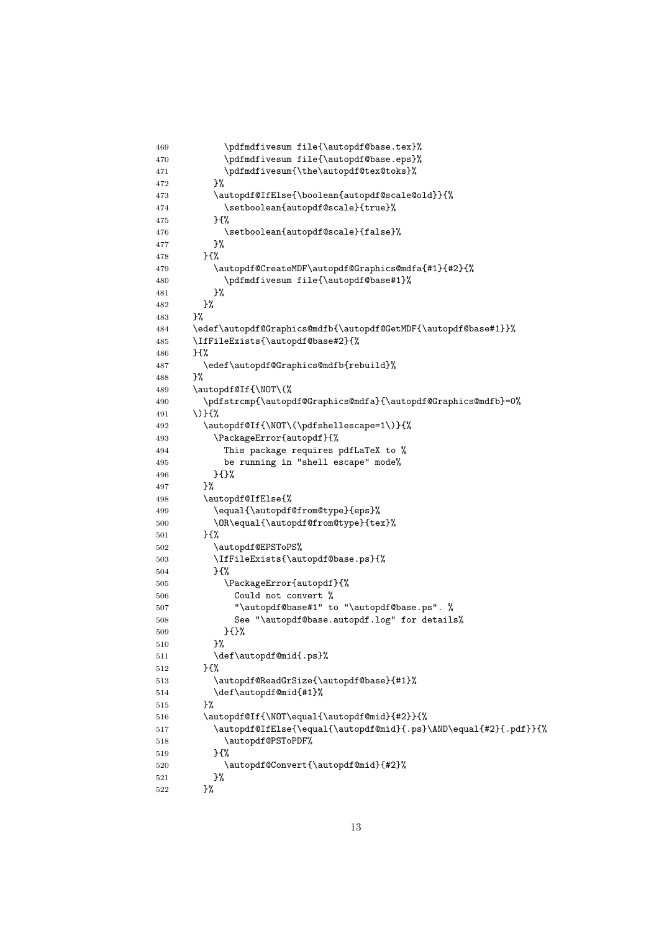```
469 \pdfmdfivesum file{\autopdf@base.tex}%
470 \pdfmdfivesum file{\autopdf@base.eps}%
471 \pdfmdfivesum{\the\autopdf@tex@toks}%
472 }%
473 \autopdf@IfElse{\boolean{autopdf@scale@old}}{%
474 \setboolean{autopdf@scale}{true}%
475 }{%
476 \setboolean{autopdf@scale}{false}%
477 }%
478 }{%
479 \autopdf@CreateMDF\autopdf@Graphics@mdfa{#1}{#2}{%
480 \pdfmdfivesum file{\autopdf@base#1}%
481 }%
482 }%
483 }%
484 \edef\autopdf@Graphics@mdfb{\autopdf@GetMDF{\autopdf@base#1}}%
485 \IfFileExists{\autopdf@base#2}{%
486 }{%
487 \edef\autopdf@Graphics@mdfb{rebuild}%
488 }%
489 \autopdf@If{\NOT\(%
490 \pdfstrcmp{\autopdf@Graphics@mdfa}{\autopdf@Graphics@mdfb}=0%
491 \)}{%
492 \autopdf@If{\NOT\(\pdfshellescape=1\)}{%
493 \PackageError{autopdf}{%
494 This package requires pdfLaTeX to %
495 be running in "shell escape" mode%
496 }{}%
497 }%
498 \autopdf@IfElse{%
499 \equal{\autopdf@from@type}{eps}%
500 \OR\equal{\autopdf@from@type}{tex}%
501 }{%
502 \autopdf@EPSToPS%
503 \IfFileExists{\autopdf@base.ps}{%
504 }{%
505 \PackageError{autopdf}{%
506 Could not convert %
507 "\autopdf@base#1" to "\autopdf@base.ps". %
508 See "\autopdf@base.autopdf.log" for details%
509 }{}%
510 }%
511 \def\autopdf@mid{.ps}%
512 }{%
513 \autopdf@ReadGrSize{\autopdf@base}{#1}%
514 \def\autopdf@mid{#1}%
515 }%
516 \autopdf@If{\NOT\equal{\autopdf@mid}{#2}}{%
517 \autopdf@IfElse{\equal{\autopdf@mid}{.ps}\AND\equal{#2}{.pdf}}{%
518 \autopdf@PSToPDF%
519 }{%
520 \autopdf@Convert{\autopdf@mid}{#2}%
521 }%
522 }%
```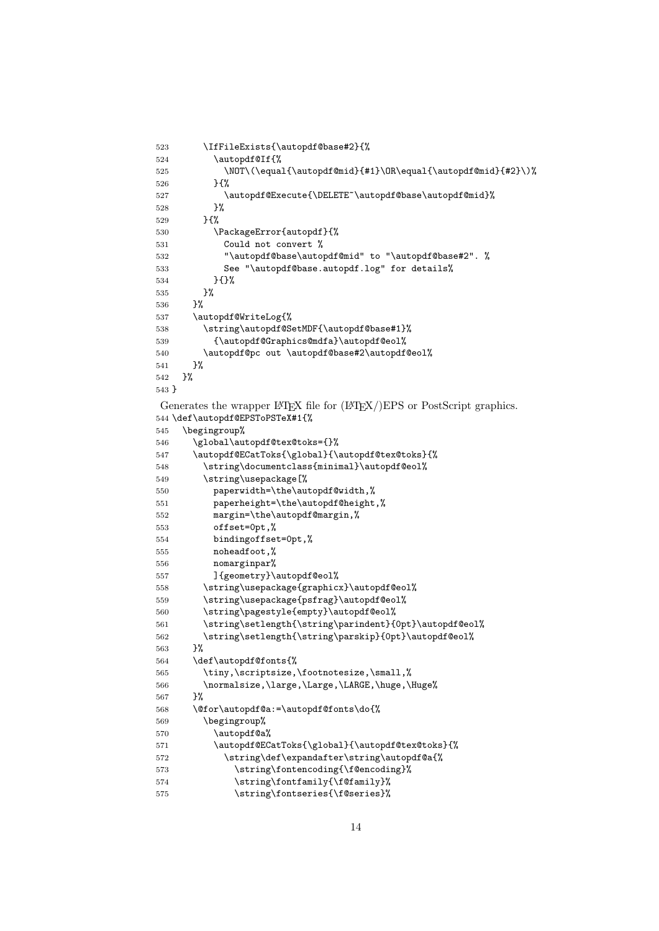```
523 \IfFileExists{\autopdf@base#2}{%
524 \autopdf@If{%
525 \NOT\(\equal{\autopdf@mid}{#1}\OR\equal{\autopdf@mid}{#2}\)%
526 }{%
527 \autopdf@Execute{\DELETE~\autopdf@base\autopdf@mid}%<br>528 }%
528
529 }{%
530 \PackageError{autopdf}{%
531 Could not convert %
532 "\autopdf@base\autopdf@mid" to "\autopdf@base#2". %
533 See "\autopdf@base.autopdf.log" for details%
534 }{}%
535 }%
536 }%
537 \autopdf@WriteLog{%
538 \string\autopdf@SetMDF{\autopdf@base#1}%
539 {\autopdf@Graphics@mdfa}\autopdf@eol%
540 \autopdf@pc out \autopdf@base#2\autopdf@eol%
541 }%
542 }%
543 }
Generates the wrapper LAT<sub>EX</sub> file for (LAT<sub>EX</sub>/)EPS or PostScript graphics.
544 \def\autopdf@EPSToPSTeX#1{%
545 \begingroup%
546 \global\autopdf@tex@toks={}%
547 \autopdf@ECatToks{\global}{\autopdf@tex@toks}{%
548 \string\documentclass{minimal}\autopdf@eol%
549 \string\usepackage[%]
550 paperwidth=\the\autopdf@width,%
551 paperheight=\the\autopdf@height,%
552 margin=\the\autopdf@margin,%
553 offset=0pt,%
554 bindingoffset=0pt,%
555 noheadfoot,%
556 nomarginpar%
557 ]{geometry}\autopdf@eol%
558 \string\usepackage{graphicx}\autopdf@eol%
559 \string\usepackage{psfrag}\autopdf@eol%
560 \string\pagestyle{empty}\autopdf@eol%
561 \string\setlength{\string\parindent}{0pt}\autopdf@eol%
562 \string\setlength{\string\parskip}{0pt}\autopdf@eol%
563 }%
564 \def\autopdf@fonts{%
565 \tiny, \scriptsize, \footnotesize, \small,%
566 \normalsize,\large,\Large,\LARGE,\huge,\Huge%
567 }%
568 \@for\autopdf@a:=\autopdf@fonts\do{%
569 \begingroup%
570 \autopdf@a%
571 \autopdf@ECatToks{\global}{\autopdf@tex@toks}{%
572 \string\def\expandafter\string\autopdf@a{%
573 \tring\fontencoding{\f@encoding}%
574 \string\fontfamily{\f@family}%
```

```
575 \string\fontseries{\f@series}%
```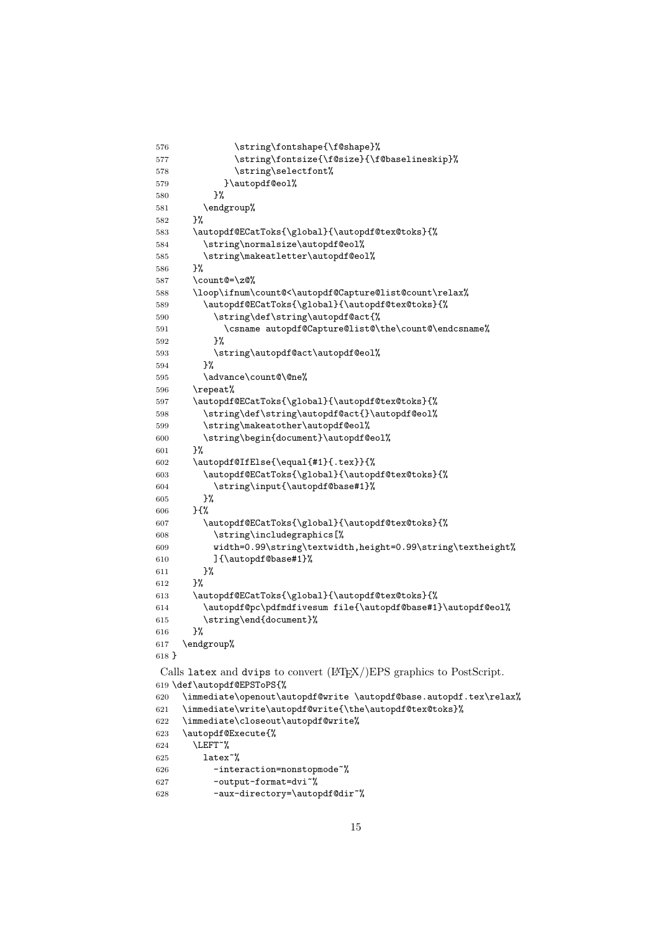```
576 \string\fontshape{\f@shape}%
577 \string\fontsize{\f@size}{\f@baselineskip}%
578 \string\selectfont%
579 }\autopdf@eol%
580 }%
581 \endgroup%
582 }%
583 \autopdf@ECatToks{\global}{\autopdf@tex@toks}{%
584 \string\normalsize\autopdf@eol%
585 \string\makeatletter\autopdf@eol%
586 }%
587 \count@=\z@%
588 \loop\ifnum\count@<\autopdf@Capture@list@count\relax%
589 \autopdf@ECatToks{\global}{\autopdf@tex@toks}{%
590 \string\def\string\autopdf@act{%
591 \csname autopdf@Capture@list@\the\count@\endcsname%
592 }%
593 \string\autopdf@act\autopdf@eol%
594 }%
595 \advance\count@\@ne%
596 \repeat%
597 \autopdf@ECatToks{\global}{\autopdf@tex@toks}{%
598 \string\def\string\autopdf@act{}\autopdf@eol%
599 \string\makeatother\autopdf@eol%
600 \string\begin{document}\autopdf@eol%
601 }%
602 \autopdf@IfElse{\equal{#1}{.tex}}{%
603 \autopdf@ECatToks{\global}{\autopdf@tex@toks}{%
604 \string\input{\autopdf@base#1}%
605 }%
606 }{%
607 \autopdf@ECatToks{\global}{\autopdf@tex@toks}{%
608 \string\includegraphics[%
609 width=0.99\string\textwidth,height=0.99\string\textheight%
610 ]{\autopdf@base#1}%
611 }%
612 }%
613 \autopdf@ECatToks{\global}{\autopdf@tex@toks}{%
614 \autopdf@pc\pdfmdfivesum file{\autopdf@base#1}\autopdf@eol%
615 \string\end{document}%
616 }%
617 \endgroup%
618 }
Calls latex and dvips to convert (LAT<sub>EX</sub>/)EPS graphics to PostScript.
619 \def\autopdf@EPSToPS{%
620 \immediate\openout\autopdf@write \autopdf@base.autopdf.tex\relax%
621 \immediate\write\autopdf@write{\the\autopdf@tex@toks}%
622 \immediate\closeout\autopdf@write%
623 \autopdf@Execute{%
624 \LEFT~%
625 latex~%
626 -interaction=nonstopmode~%
627 -output-format=dvi~%
628 -aux-directory=\autopdf@dir~%
```